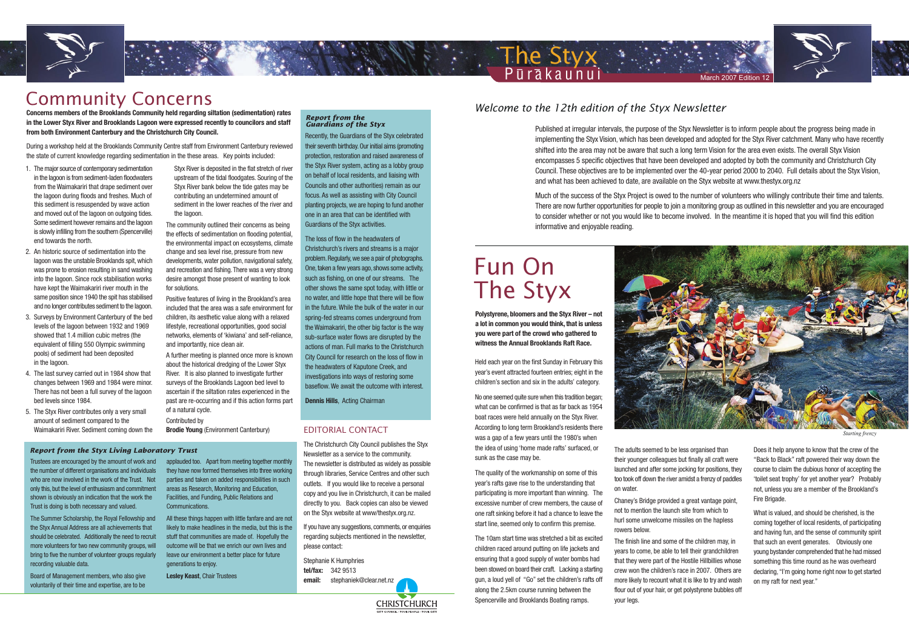Published at irregular intervals, the purpose of the Styx Newsletter is to inform people about the progress being made in implementing the Styx Vision, which has been developed and adopted for the Styx River catchment. Many who have recently shifted into the area may not be aware that such a long term Vision for the area even exists. The overall Styx Vision encompasses 5 specific objectives that have been developed and adopted by both the community and Christchurch City Council. These objectives are to be implemented over the 40-year period 2000 to 2040. Full details about the Styx Vision, and what has been achieved to date, are available on the Styx website at www.thestyx.org.nz

Much of the success of the Styx Project is owed to the number of volunteers who willingly contribute their time and talents. There are now further opportunities for people to join a monitoring group as outlined in this newsletter and you are encouraged to consider whether or not you would like to become involved. In the meantime it is hoped that you will find this edition informative and enjoyable reading.



Purakaunui

The Styx



**Starting frenzy** 

#### EDITORIAL CONTACT

The Christchurch City Council publishes the Styx Newsletter as a service to the community. The newsletter is distributed as widely as possible through libraries, Service Centres and other such outlets. If you would like to receive a personal copy and you live in Christchurch, it can be mailed directly to you. Back copies can also be viewed on the Styx website at www/thestyx.org.nz.

If you have any suggestions, comments, or enquiries regarding subjects mentioned in the newsletter, please contact:

**CHRISTCHURCH** 

Stephanie K Humphries **tel/fax:** 342 9513 **email:** stephaniek@clear.net.nz

Trustees are encouraged by the amount of work and the number of different organisations and individuals who are now involved in the work of the Trust. Not only this, but the level of enthusiasm and commitment shown is obviously an indication that the work the Trust is doing is both necessary and valued.

The Summer Scholarship, the Royal Fellowship and the Styx Annual Address are all achievements that should be celebrated. Additionally the need to recruit more volunteers for two new community groups, will bring to five the number of volunteer groups regularly recording valuable data.

Board of Management members, who also give voluntarily of their time and expertise, are to be

applauded too. Apart from meeting together monthly they have now formed themselves into three working parties and taken on added responsibilities in such areas as Research, Monitoring and Education, Facilities, and Funding, Public Relations and Communications.

All these things happen with little fanfare and are not likely to make headlines in the media, but this is the stuff that communities are made of. Hopefully the outcome will be that we enrich our own lives and leave our environment a better place for future generations to enjoy.

**Lesley Keast**, Chair Trustees

Held each year on the first Sunday in February this year's event attracted fourteen entries; eight in the children's section and six in the adults' category.

No one seemed quite sure when this tradition began; what can be confirmed is that as far back as 1954 boat races were held annually on the Styx River. According to long term Brookland's residents there was a gap of a few years until the 1980's when the idea of using 'home made rafts' surfaced, or sunk as the case may be.

The quality of the workmanship on some of this year's rafts gave rise to the understanding that participating is more important than winning. The excessive number of crew members, the cause of one raft sinking before it had a chance to leave the start line, seemed only to confirm this premise.

The 10am start time was stretched a bit as excited children raced around putting on life jackets and ensuring that a good supply of water bombs had been stowed on board their craft. Lacking a starting gun, a loud yell of "Go" set the children's rafts off along the 2.5km course running between the Spencerville and Brooklands Boating ramps.



The adults seemed to be less organised than their younger colleagues but finally all craft were launched and after some jocking for positions, they too took off down the river amidst a frenzy of paddles on water.

Chaney's Bridge provided a great vantage point, not to mention the launch site from which to hurl some unwelcome missiles on the hapless rowers below.

The finish line and some of the children may, in years to come, be able to tell their grandchildren that they were part of the Hostile Hillbillies whose crew won the children's race in 2007. Others are more likely to recount what it is like to try and wash flour out of your hair, or get polystyrene bubbles off your legs.

Does it help anyone to know that the crew of the "Back to Black" raft powered their way down the course to claim the dubious honor of accepting the 'toilet seat trophy' for yet another year? Probably not, unless you are a member of the Brookland's Fire Brigade.

What is valued, and should be cherished, is the coming together of local residents, of participating and having fun, and the sense of community spirit that such an event generates. Obviously one young bystander comprehended that he had missed something this time round as he was overheard declaring, "I'm going home right now to get started on my raft for next year."

#### *Report from the Guardians of the Styx*

Recently, the Guardians of the Styx celebrated their seventh birthday. Our initial aims (promoting protection, restoration and raised awareness of the Styx River system, acting as a lobby group on behalf of local residents, and liaising with Councils and other authorities) remain as our focus. As well as assisting with City Council planting projects, we are hoping to fund another one in an area that can be identified with Guardians of the Styx activities.

The loss of flow in the headwaters of Christchurch's rivers and streams is a major problem. Regularly, we see a pair of photographs. One, taken a few years ago, shows some activity, such as fishing, on one of our streams. The other shows the same spot today, with little or no water, and little hope that there will be flow in the future. While the bulk of the water in our spring-fed streams comes underground from the Waimakariri, the other big factor is the way sub-surface water flows are disrupted by the actions of man. Full marks to the Christchurch City Council for research on the loss of flow in the headwaters of Kaputone Creek, and investigations into ways of restoring some baseflow. We await the outcome with interest.

**Dennis Hills**, Acting Chairman

#### *Report from the Styx Living Laboratory Trust*

- 1. The major source of contemporary sedimentation in the lagoon is from sediment-laden floodwaters from the Waimakariri that drape sediment over the lagoon during floods and freshes. Much of this sediment is resuspended by wave action and moved out of the lagoon on outgoing tides. Some sediment however remains and the lagoon is slowly infilling from the southern (Spencerville) end towards the north.
- 2. An historic source of sedimentation into the lagoon was the unstable Brooklands spit, which was prone to erosion resulting in sand washing into the lagoon. Since rock stabilisation works have kept the Waimakariri river mouth in the same position since 1940 the spit has stabilised and no longer contributes sediment to the lagoon.
- 3. Surveys by Environment Canterbury of the bed levels of the lagoon between 1932 and 1969 showed that 1.4 million cubic metres (the equivalent of filling 550 Olympic swimming pools) of sediment had been deposited in the lagoon.
- 4. The last survey carried out in 1984 show that changes between 1969 and 1984 were minor. There has not been a full survey of the lagoon bed levels since 1984.
- 5. The Styx River contributes only a very small amount of sediment compared to the Waimakariri River. Sediment coming down the
- Styx River is deposited in the flat stretch of river upstream of the tidal floodgates. Souring of the Styx River bank below the tide gates may be contributing an undetermined amount of sediment in the lower reaches of the river and the lagoon.
- The community outlined their concerns as being the effects of sedimentation on flooding potential, the environmental impact on ecosystems, climate change and sea level rise, pressure from new developments, water pollution, navigational safety, and recreation and fishing. There was a very strong desire amongst those present of wanting to look for solutions.

Positive features of living in the Brookland's area included that the area was a safe environment for children, its aesthetic value along with a relaxed lifestyle, recreational opportunities, good social networks, elements of 'kiwiana' and self-reliance, and importantly, nice clean air.

A further meeting is planned once more is known about the historical dredging of the Lower Styx River. It is also planned to investigate further surveys of the Brooklands Lagoon bed level to ascertain if the siltation rates experienced in the past are re-occurring and if this action forms part of a natural cycle.

Contributed by **Brodie Young** (Environment Canterbury)



## Community Concerns

**Concerns members of the Brooklands Community held regarding siltation (sedimentation) rates in the Lower Styx River and Brooklands Lagoon were expressed recently to councilors and staff from both Environment Canterbury and the Christchurch City Council.**

During a workshop held at the Brooklands Community Centre staff from Environment Canterbury reviewed the state of current knowledge regarding sedimentation in the these areas. Key points included:

# Fun On The Styx

**Polystyrene, bloomers and the Styx River – not a lot in common you would think, that is unless you were part of the crowd who gathered to witness the Annual Brooklands Raft Race.**